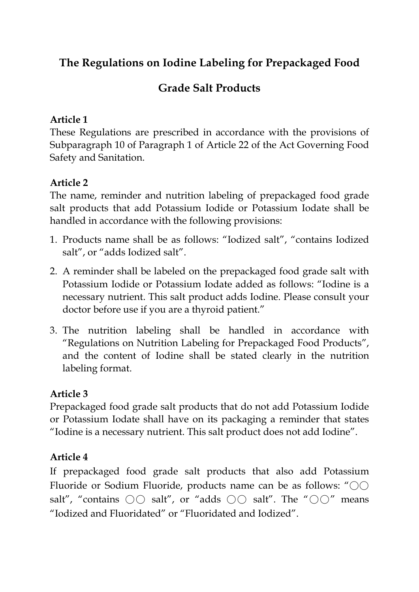# **The Regulations on Iodine Labeling for Prepackaged Food**

## **Grade Salt Products**

### **Article 1**

These Regulations are prescribed in accordance with the provisions of Subparagraph 10 of Paragraph 1 of Article 22 of the Act Governing Food Safety and Sanitation.

## **Article 2**

The name, reminder and nutrition labeling of prepackaged food grade salt products that add Potassium Iodide or Potassium Iodate shall be handled in accordance with the following provisions:

- 1. Products name shall be as follows: "Iodized salt", "contains Iodized salt", or "adds Iodized salt".
- 2. A reminder shall be labeled on the prepackaged food grade salt with Potassium Iodide or Potassium Iodate added as follows: "Iodine is a necessary nutrient. This salt product adds Iodine. Please consult your doctor before use if you are a thyroid patient."
- 3. The nutrition labeling shall be handled in accordance with "Regulations on Nutrition Labeling for Prepackaged Food Products", and the content of Iodine shall be stated clearly in the nutrition labeling format.

#### **Article 3**

Prepackaged food grade salt products that do not add Potassium Iodide or Potassium Iodate shall have on its packaging a reminder that states "Iodine is a necessary nutrient. This salt product does not add Iodine".

#### **Article 4**

If prepackaged food grade salt products that also add Potassium Fluoride or Sodium Fluoride, products name can be as follows: "○○ salt", "contains  $\bigcirc \bigcirc$  salt", or "adds  $\bigcirc \bigcirc$  salt". The " $\bigcirc \bigcirc$ " means "Iodized and Fluoridated" or "Fluoridated and Iodized".